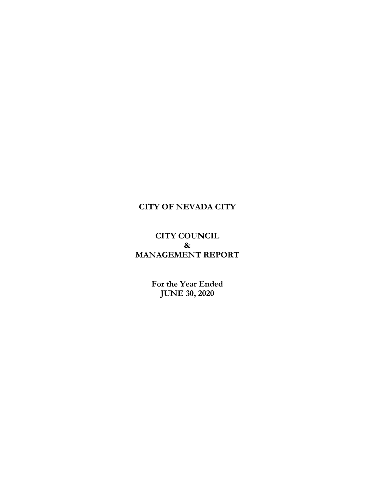## **CITY OF NEVADA CITY**

## **CITY COUNCIL & MANAGEMENT REPORT**

**For the Year Ended JUNE 30, 2020**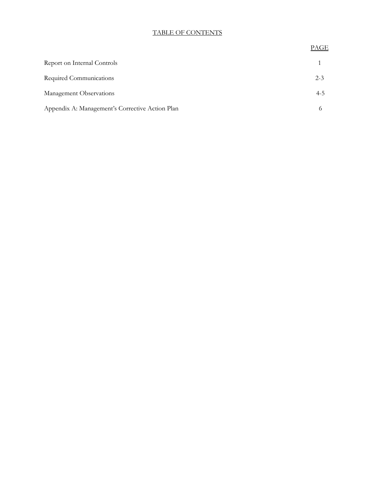## TABLE OF CONTENTS

|                                                 | L VI QI |
|-------------------------------------------------|---------|
| Report on Internal Controls                     |         |
| Required Communications                         | $2 - 3$ |
| Management Observations                         | $4 - 5$ |
| Appendix A: Management's Corrective Action Plan |         |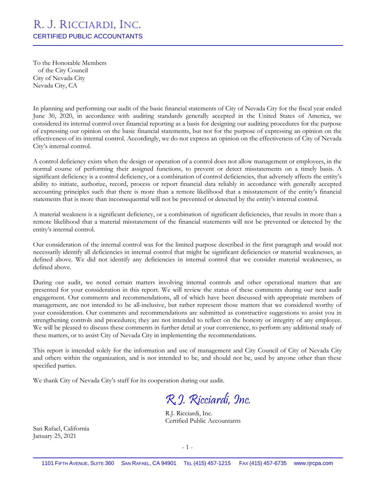# R. J. RICCIARDI, INC. CERTIFIED PUBLIC ACCOUNTANTS

To the Honorable Members of the City Council City of Nevada City Nevada City, CA

In planning and performing our audit of the basic financial statements of City of Nevada City for the fiscal year ended June 30, 2020, in accordance with auditing standards generally accepted in the United States of America, we considered its internal control over financial reporting as a basis for designing our auditing procedures for the purpose of expressing our opinion on the basic financial statements, but not for the purpose of expressing an opinion on the effectiveness of its internal control. Accordingly, we do not express an opinion on the effectiveness of City of Nevada City's internal control.

A control deficiency exists when the design or operation of a control does not allow management or employees, in the normal course of performing their assigned functions, to prevent or detect misstatements on a timely basis. A significant deficiency is a control deficiency, or a combination of control deficiencies, that adversely affects the entity's ability to initiate, authorize, record, process or report financial data reliably in accordance with generally accepted accounting principles such that there is more than a remote likelihood that a misstatement of the entity's financial statements that is more than inconsequential will not be prevented or detected by the entity's internal control.

A material weakness is a significant deficiency, or a combination of significant deficiencies, that results in more than a remote likelihood that a material misstatement of the financial statements will not be prevented or detected by the entity's internal control.

Our consideration of the internal control was for the limited purpose described in the first paragraph and would not necessarily identify all deficiencies in internal control that might be significant deficiencies or material weaknesses, as defined above. We did not identify any deficiencies in internal control that we consider material weaknesses, as defined above.

During our audit, we noted certain matters involving internal controls and other operational matters that are presented for your consideration in this report. We will review the status of these comments during our next audit engagement. Our comments and recommendations, all of which have been discussed with appropriate members of management, are not intended to be all-inclusive, but rather represent those matters that we considered worthy of your consideration. Our comments and recommendations are submitted as constructive suggestions to assist you in strengthening controls and procedures; they are not intended to reflect on the honesty or integrity of any employee. We will be pleased to discuss these comments in further detail at your convenience, to perform any additional study of these matters, or to assist City of Nevada City in implementing the recommendations.

This report is intended solely for the information and use of management and City Council of City of Nevada City and others within the organization, and is not intended to be, and should not be, used by anyone other than these specified parties.

We thank City of Nevada City's staff for its cooperation during our audit.

R.J. Ricciardi, Inc.

R.J. Ricciardi, Inc. Certified Public Accountants

San Rafael, California January 25, 2021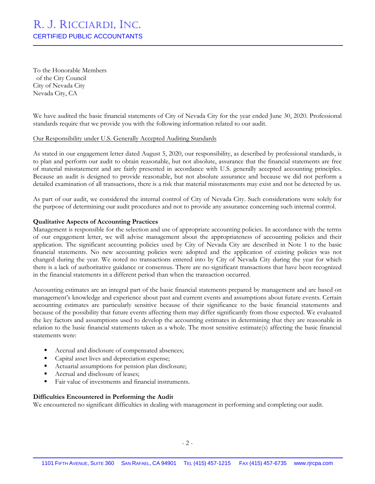# R. J. RICCIARDI, INC. CERTIFIED PUBLIC ACCOUNTANTS

To the Honorable Members of the City Council City of Nevada City Nevada City, CA

We have audited the basic financial statements of City of Nevada City for the year ended June 30, 2020. Professional standards require that we provide you with the following information related to our audit.

#### Our Responsibility under U.S. Generally Accepted Auditing Standards

As stated in our engagement letter dated August 5, 2020, our responsibility, as described by professional standards, is to plan and perform our audit to obtain reasonable, but not absolute, assurance that the financial statements are free of material misstatement and are fairly presented in accordance with U.S. generally accepted accounting principles. Because an audit is designed to provide reasonable, but not absolute assurance and because we did not perform a detailed examination of all transactions, there is a risk that material misstatements may exist and not be detected by us.

As part of our audit, we considered the internal control of City of Nevada City. Such considerations were solely for the purpose of determining our audit procedures and not to provide any assurance concerning such internal control.

#### **Qualitative Aspects of Accounting Practices**

Management is responsible for the selection and use of appropriate accounting policies. In accordance with the terms of our engagement letter, we will advise management about the appropriateness of accounting policies and their application. The significant accounting policies used by City of Nevada City are described in Note 1 to the basic financial statements. No new accounting policies were adopted and the application of existing policies was not changed during the year. We noted no transactions entered into by City of Nevada City during the year for which there is a lack of authoritative guidance or consensus. There are no significant transactions that have been recognized in the financial statements in a different period than when the transaction occurred.

Accounting estimates are an integral part of the basic financial statements prepared by management and are based on management's knowledge and experience about past and current events and assumptions about future events. Certain accounting estimates are particularly sensitive because of their significance to the basic financial statements and because of the possibility that future events affecting them may differ significantly from those expected. We evaluated the key factors and assumptions used to develop the accounting estimates in determining that they are reasonable in relation to the basic financial statements taken as a whole. The most sensitive estimate(s) affecting the basic financial statements were:

- Accrual and disclosure of compensated absences;
- Capital asset lives and depreciation expense;
- Actuarial assumptions for pension plan disclosure;
- Accrual and disclosure of leases;
- Fair value of investments and financial instruments.

#### **Difficulties Encountered in Performing the Audit**

We encountered no significant difficulties in dealing with management in performing and completing our audit.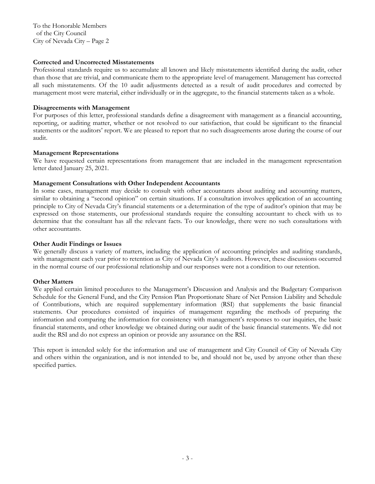To the Honorable Members of the City Council City of Nevada City – Page 2

#### **Corrected and Uncorrected Misstatements**

Professional standards require us to accumulate all known and likely misstatements identified during the audit, other than those that are trivial, and communicate them to the appropriate level of management. Management has corrected all such misstatements. Of the 10 audit adjustments detected as a result of audit procedures and corrected by management most were material, either individually or in the aggregate, to the financial statements taken as a whole.

### **Disagreements with Management**

For purposes of this letter, professional standards define a disagreement with management as a financial accounting, reporting, or auditing matter, whether or not resolved to our satisfaction, that could be significant to the financial statements or the auditors' report. We are pleased to report that no such disagreements arose during the course of our audit.

### **Management Representations**

We have requested certain representations from management that are included in the management representation letter dated January 25, 2021.

### **Management Consultations with Other Independent Accountants**

In some cases, management may decide to consult with other accountants about auditing and accounting matters, similar to obtaining a "second opinion" on certain situations. If a consultation involves application of an accounting principle to City of Nevada City's financial statements or a determination of the type of auditor's opinion that may be expressed on those statements, our professional standards require the consulting accountant to check with us to determine that the consultant has all the relevant facts. To our knowledge, there were no such consultations with other accountants.

#### **Other Audit Findings or Issues**

We generally discuss a variety of matters, including the application of accounting principles and auditing standards, with management each year prior to retention as City of Nevada City's auditors. However, these discussions occurred in the normal course of our professional relationship and our responses were not a condition to our retention.

## **Other Matters**

We applied certain limited procedures to the Management's Discussion and Analysis and the Budgetary Comparison Schedule for the General Fund, and the City Pension Plan Proportionate Share of Net Pension Liability and Schedule of Contributions, which are required supplementary information (RSI) that supplements the basic financial statements. Our procedures consisted of inquiries of management regarding the methods of preparing the information and comparing the information for consistency with management's responses to our inquiries, the basic financial statements, and other knowledge we obtained during our audit of the basic financial statements. We did not audit the RSI and do not express an opinion or provide any assurance on the RSI.

This report is intended solely for the information and use of management and City Council of City of Nevada City and others within the organization, and is not intended to be, and should not be, used by anyone other than these specified parties.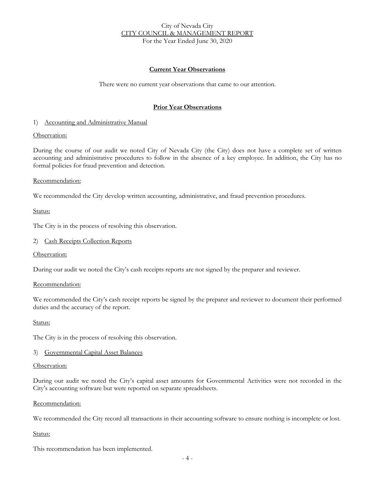### City of Nevada City CITY COUNCIL & MANAGEMENT REPORT For the Year Ended June 30, 2020

## **Current Year Observations**

There were no current year observations that came to our attention.

## **Prior Year Observations**

#### 1) Accounting and Administrative Manual

#### Observation:

During the course of our audit we noted City of Nevada City (the City) does not have a complete set of written accounting and administrative procedures to follow in the absence of a key employee. In addition, the City has no formal policies for fraud prevention and detection.

#### Recommendation:

We recommended the City develop written accounting, administrative, and fraud prevention procedures.

Status:

The City is in the process of resolving this observation.

#### 2) Cash Receipts Collection Reports

Observation:

During our audit we noted the City's cash receipts reports are not signed by the preparer and reviewer.

#### Recommendation:

We recommended the City's cash receipt reports be signed by the preparer and reviewer to document their performed duties and the accuracy of the report.

#### Status:

The City is in the process of resolving this observation.

#### 3) Governmental Capital Asset Balances

#### Observation:

During our audit we noted the City's capital asset amounts for Governmental Activities were not recorded in the City's accounting software but were reported on separate spreadsheets.

#### Recommendation:

We recommended the City record all transactions in their accounting software to ensure nothing is incomplete or lost.

#### Status:

This recommendation has been implemented.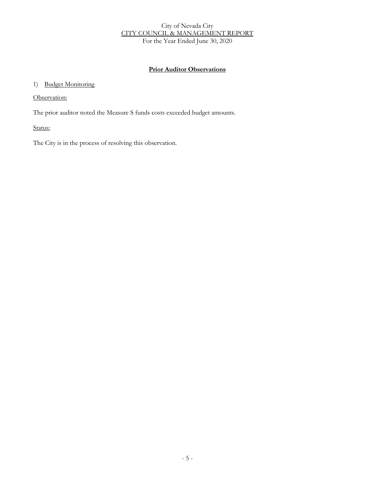## City of Nevada City CITY COUNCIL & MANAGEMENT REPORT For the Year Ended June 30, 2020

## **Prior Auditor Observations**

## 1) Budget Monitoring

Observation:

The prior auditor noted the Measure S funds costs exceeded budget amounts.

Status:

The City is in the process of resolving this observation.